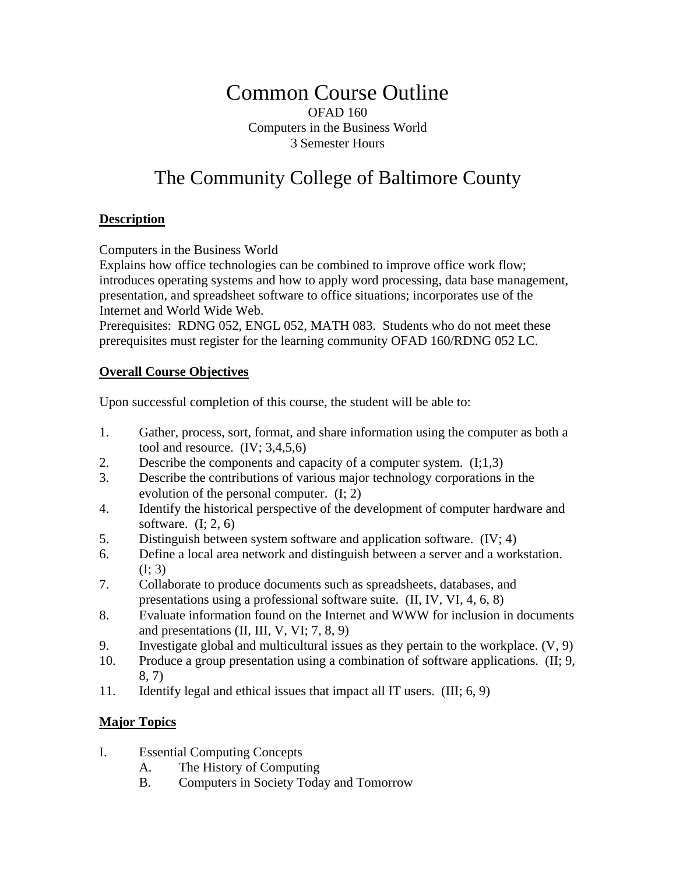## Common Course Outline OFAD 160 Computers in the Business World 3 Semester Hours

# The Community College of Baltimore County

#### **Description**

Computers in the Business World

Explains how office technologies can be combined to improve office work flow; introduces operating systems and how to apply word processing, data base management, presentation, and spreadsheet software to office situations; incorporates use of the Internet and World Wide Web.

Prerequisites: RDNG 052, ENGL 052, MATH 083. Students who do not meet these prerequisites must register for the learning community OFAD 160/RDNG 052 LC.

#### **Overall Course Objectives**

Upon successful completion of this course, the student will be able to:

- 1. Gather, process, sort, format, and share information using the computer as both a tool and resource.  $(IV; 3,4,5,6)$
- 2. Describe the components and capacity of a computer system. (I;1,3)
- 3. Describe the contributions of various major technology corporations in the evolution of the personal computer. (I; 2)
- 4. Identify the historical perspective of the development of computer hardware and software.  $(I: 2, 6)$
- 5. Distinguish between system software and application software. (IV; 4)
- 6. Define a local area network and distinguish between a server and a workstation. (I; 3)
- 7. Collaborate to produce documents such as spreadsheets, databases, and presentations using a professional software suite. (II, IV, VI, 4, 6, 8)
- 8. Evaluate information found on the Internet and WWW for inclusion in documents and presentations (II, III, V, VI; 7, 8, 9)
- 9. Investigate global and multicultural issues as they pertain to the workplace.  $(V, 9)$
- 10. Produce a group presentation using a combination of software applications. (II; 9, 8, 7)
- 11. Identify legal and ethical issues that impact all IT users. (III; 6, 9)

### **Major Topics**

- I. Essential Computing Concepts
	- A. The History of Computing
	- B. Computers in Society Today and Tomorrow